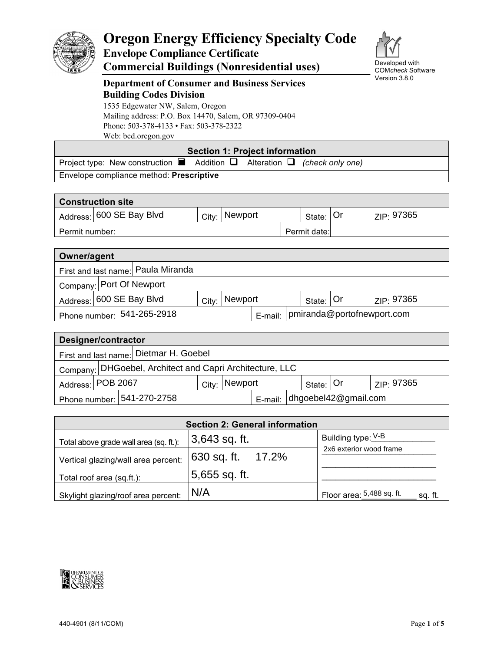

# **Oregon Energy Efficiency Specialty Code Envelope Compliance Certificate Commercial Buildings (Nonresidential uses)**



Developed with COM*check* Software Version 3.8.0

# **Department of Consumer and Business Services Building Codes Division**

1535 Edgewater NW, Salem, Oregon Mailing address: P.O. Box 14470, Salem, OR 97309-0404 Phone: 503-378-4133 • Fax: 503-378-2322 Web: bcd.oregon.gov

### **Section 1: Project information**

Project type: New construction ■ Addition □ Alteration □ (check only one) Envelope compliance method: **Prescriptive**

| <b>Construction site</b> |       |                |  |              |  |  |            |
|--------------------------|-------|----------------|--|--------------|--|--|------------|
| Address: 600 SE Bay Blvd | City: | <b>Newport</b> |  | State: Or    |  |  | ZIP: 97365 |
| Permit number: I         |       |                |  | Permit date: |  |  |            |

| Owner/agent                                                          |  |                                    |       |         |  |  |              |  |                       |
|----------------------------------------------------------------------|--|------------------------------------|-------|---------|--|--|--------------|--|-----------------------|
|                                                                      |  | First and last name: Paula Miranda |       |         |  |  |              |  |                       |
|                                                                      |  | Company: Port Of Newport           |       |         |  |  |              |  |                       |
|                                                                      |  | Address: 600 SE Bay Blvd           | City: | Newport |  |  | State: $ Or$ |  | ZIP: <sup>97365</sup> |
| E-mail:   pmiranda@portofnewport.com<br>Phone number:   541-265-2918 |  |                                    |       |         |  |  |              |  |                       |

| Designer/contractor                                                             |                                                          |  |  |  |  |  |  |
|---------------------------------------------------------------------------------|----------------------------------------------------------|--|--|--|--|--|--|
| First and last name: Dietmar H. Goebel                                          |                                                          |  |  |  |  |  |  |
|                                                                                 | Company: DHGoebel, Architect and Capri Architecture, LLC |  |  |  |  |  |  |
| Address: POB 2067<br>ZIP: 97365<br>Newport<br>State: Or<br>City:                |                                                          |  |  |  |  |  |  |
| $\frac{1}{2}$ dhgoebel 42 @ gmail.com<br>Phone number: 1541-270-2758<br>E-mail: |                                                          |  |  |  |  |  |  |

| <b>Section 2: General information</b>  |                    |                                      |  |  |  |
|----------------------------------------|--------------------|--------------------------------------|--|--|--|
| Total above grade wall area (sq. ft.): | Building type: V-B |                                      |  |  |  |
| Vertical glazing/wall area percent:    | 630 sq. ft. 17.2%  | 2x6 exterior wood frame              |  |  |  |
| Total roof area (sq.ft.):              | 5,655 sq. ft.      |                                      |  |  |  |
| Skylight glazing/roof area percent:    | N/A                | Floor area: 5,488 sq. ft.<br>sq. ft. |  |  |  |

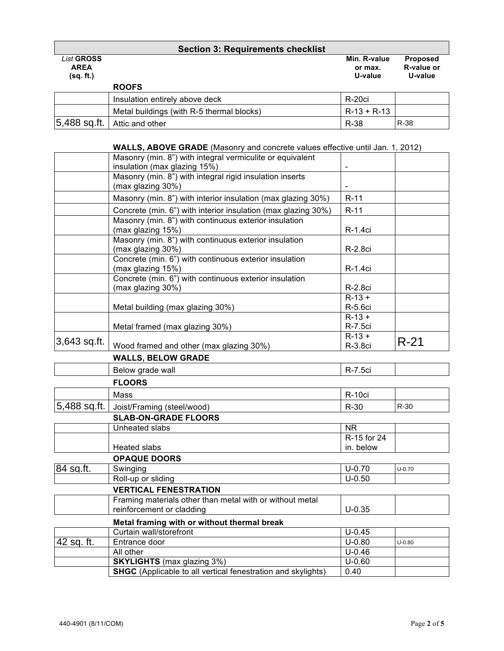| <b>Section 3: Requirements checklist</b>      |                                           |                                    |                                          |  |
|-----------------------------------------------|-------------------------------------------|------------------------------------|------------------------------------------|--|
| <b>List GROSS</b><br><b>AREA</b><br>(sq. ft.) |                                           | Min. R-value<br>or max.<br>U-value | <b>Proposed</b><br>R-value or<br>U-value |  |
|                                               | <b>ROOFS</b>                              |                                    |                                          |  |
|                                               | Insulation entirely above deck            | R-20ci                             |                                          |  |
|                                               | Metal buildings (with R-5 thermal blocks) | $R-13 + R-13$                      |                                          |  |
| 5,488 sq.ft.                                  | Attic and other                           | R-38                               | R-38                                     |  |

## **WALLS, ABOVE GRADE** (Masonry and concrete values effective until Jan. 1, 2012)

|              | Masonry (min. 8") with integral vermiculite or equivalent<br>insulation (max glazing 15%) |                          |            |
|--------------|-------------------------------------------------------------------------------------------|--------------------------|------------|
|              | Masonry (min. 8") with integral rigid insulation inserts                                  |                          |            |
|              | (max glazing 30%)                                                                         |                          |            |
|              | Masonry (min. 8") with interior insulation (max glazing 30%)                              | $R-11$                   |            |
|              | Concrete (min. 6") with interior insulation (max glazing 30%)                             | $R-11$                   |            |
|              | Masonry (min. 8") with continuous exterior insulation<br>(max glazing 15%)                | R-1.4ci                  |            |
|              | Masonry (min. 8") with continuous exterior insulation<br>(max glazing 30%)                | R-2.8ci                  |            |
|              | Concrete (min. 6") with continuous exterior insulation<br>(max glazing 15%)               | R-1.4ci                  |            |
|              | Concrete (min. 6") with continuous exterior insulation<br>(max glazing 30%)               | R-2.8ci                  |            |
|              | Metal building (max glazing 30%)                                                          | $R-13+$<br>R-5.6ci       |            |
|              | Metal framed (max glazing 30%)                                                            | $R-13+$<br>R-7.5ci       |            |
| 3,643 sq.ft. | Wood framed and other (max glazing 30%)                                                   | $R-13+$<br>R-3.8ci       | $R-21$     |
|              | <b>WALLS, BELOW GRADE</b>                                                                 |                          |            |
|              | Below grade wall                                                                          | R-7.5ci                  |            |
|              | <b>FLOORS</b>                                                                             |                          |            |
|              | Mass                                                                                      | R-10ci                   |            |
| 5,488 sq.ft. | Joist/Framing (steel/wood)                                                                | $R-30$                   | $R-30$     |
|              | <b>SLAB-ON-GRADE FLOORS</b>                                                               |                          |            |
|              | Unheated slabs                                                                            | <b>NR</b>                |            |
|              | <b>Heated slabs</b>                                                                       | R-15 for 24<br>in. below |            |
|              | <b>OPAQUE DOORS</b>                                                                       |                          |            |
| 84 sq.ft.    | Swinging                                                                                  | $U-0.70$                 | $U - 0.70$ |
|              | Roll-up or sliding                                                                        | $U-0.50$                 |            |
|              | <b>VERTICAL FENESTRATION</b>                                                              |                          |            |
|              | Framing materials other than metal with or without metal<br>reinforcement or cladding     | $U - 0.35$               |            |
|              | Metal framing with or without thermal break                                               |                          |            |
|              | Curtain wall/storefront                                                                   | $U-0.45$                 |            |
| 42 sq. ft.   | Entrance door                                                                             | $U-0.80$                 | $U - 0.80$ |
|              | All other                                                                                 | $U - 0.46$               |            |
|              | <b>SKYLIGHTS</b> (max glazing 3%)                                                         | $U-0.60$                 |            |
|              | <b>SHGC</b> (Applicable to all vertical fenestration and skylights)                       | 0.40                     |            |

Г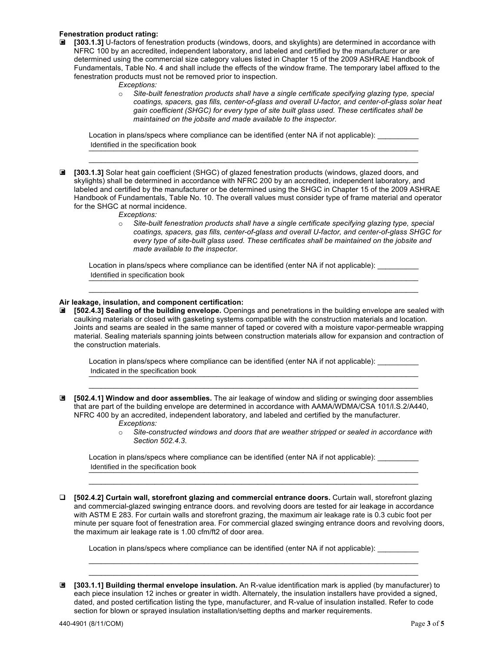#### **Fenestration product rating:**

- **■** [303.1.3] U-factors of fenestration products (windows, doors, and skylights) are determined in accordance with NFRC 100 by an accredited, independent laboratory, and labeled and certified by the manufacturer or are determined using the commercial size category values listed in Chapter 15 of the 2009 ASHRAE Handbook of Fundamentals, Table No. 4 and shall include the effects of the window frame. The temporary label affixed to the fenestration products must not be removed prior to inspection.
	- *Exceptions:*
	- o *Site-built fenestration products shall have a single certificate specifying glazing type, special coatings, spacers, gas fills, center-of-glass and overall U-factor, and center-of-glass solar heat gain coefficient (SHGC) for every type of site built glass used. These certificates shall be maintained on the jobsite and made available to the inspector.*

Location in plans/specs where compliance can be identified (enter NA if not applicable): \_\_\_\_\_\_\_\_ dentified in the specification book

 $\mathcal{L}_\mathcal{L} = \{ \mathcal{L}_\mathcal{L} = \{ \mathcal{L}_\mathcal{L} = \{ \mathcal{L}_\mathcal{L} = \{ \mathcal{L}_\mathcal{L} = \{ \mathcal{L}_\mathcal{L} = \{ \mathcal{L}_\mathcal{L} = \{ \mathcal{L}_\mathcal{L} = \{ \mathcal{L}_\mathcal{L} = \{ \mathcal{L}_\mathcal{L} = \{ \mathcal{L}_\mathcal{L} = \{ \mathcal{L}_\mathcal{L} = \{ \mathcal{L}_\mathcal{L} = \{ \mathcal{L}_\mathcal{L} = \{ \mathcal{L}_\mathcal{$ 

- **[303.1.3]** Solar heat gain coefficient (SHGC) of glazed fenestration products (windows, glazed doors, and skylights) shall be determined in accordance with NFRC 200 by an accredited, independent laboratory, and labeled and certified by the manufacturer or be determined using the SHGC in Chapter 15 of the 2009 ASHRAE Handbook of Fundamentals, Table No. 10. The overall values must consider type of frame material and operator for the SHGC at normal incidence.
	- *Exceptions:*
	- o *Site-built fenestration products shall have a single certificate specifying glazing type, special coatings, spacers, gas fills, center-of-glass and overall U-factor, and center-of-glass SHGC for every type of site-built glass used. These certificates shall be maintained on the jobsite and made available to the inspector.*

Location in plans/specs where compliance can be identified (enter NA if not applicable): \_\_\_\_\_\_\_\_\_ dentified in specification book

#### **Air leakage, insulation, and component certification:**

 **[502.4.3] Sealing of the building envelope.** Openings and penetrations in the building envelope are sealed with ■ caulking materials or closed with gasketing systems compatible with the construction materials and location. Joints and seams are sealed in the same manner of taped or covered with a moisture vapor-permeable wrapping material. Sealing materials spanning joints between construction materials allow for expansion and contraction of the construction materials.

 $\mathcal{L}_\mathcal{L} = \mathcal{L}_\mathcal{L} = \mathcal{L}_\mathcal{L} = \mathcal{L}_\mathcal{L} = \mathcal{L}_\mathcal{L} = \mathcal{L}_\mathcal{L} = \mathcal{L}_\mathcal{L} = \mathcal{L}_\mathcal{L} = \mathcal{L}_\mathcal{L} = \mathcal{L}_\mathcal{L} = \mathcal{L}_\mathcal{L} = \mathcal{L}_\mathcal{L} = \mathcal{L}_\mathcal{L} = \mathcal{L}_\mathcal{L} = \mathcal{L}_\mathcal{L} = \mathcal{L}_\mathcal{L} = \mathcal{L}_\mathcal{L}$ 

Location in plans/specs where compliance can be identified (enter NA if not applicable): \_\_\_\_\_ Indicated in the specification book

 **[502.4.1] Window and door assemblies.** The air leakage of window and sliding or swinging door assemblies ■ that are part of the building envelope are determined in accordance with AAMA/WDMA/CSA 101/I.S.2/A440, NFRC 400 by an accredited, independent laboratory, and labeled and certified by the manufacturer. *Exceptions:*

 $\mathcal{L}_\mathcal{L} = \mathcal{L}_\mathcal{L} = \mathcal{L}_\mathcal{L} = \mathcal{L}_\mathcal{L} = \mathcal{L}_\mathcal{L} = \mathcal{L}_\mathcal{L} = \mathcal{L}_\mathcal{L} = \mathcal{L}_\mathcal{L} = \mathcal{L}_\mathcal{L} = \mathcal{L}_\mathcal{L} = \mathcal{L}_\mathcal{L} = \mathcal{L}_\mathcal{L} = \mathcal{L}_\mathcal{L} = \mathcal{L}_\mathcal{L} = \mathcal{L}_\mathcal{L} = \mathcal{L}_\mathcal{L} = \mathcal{L}_\mathcal{L}$ 

o *Site-constructed windows and doors that are weather stripped or sealed in accordance with Section 502.4.3*.

Location in plans/specs where compliance can be identified (enter NA if not applicable): \_\_\_\_\_\_\_\_ dentified in the specification book

 **[502.4.2] Curtain wall, storefront glazing and commercial entrance doors.** Curtain wall, storefront glazing and commercial-glazed swinging entrance doors. and revolving doors are tested for air leakage in accordance with ASTM E 283. For curtain walls and storefront grazing, the maximum air leakage rate is 0.3 cubic foot per minute per square foot of fenestration area. For commercial glazed swinging entrance doors and revolving doors, the maximum air leakage rate is 1.00 cfm/ft2 of door area.

 $\mathcal{L}_\mathcal{L} = \mathcal{L}_\mathcal{L} = \mathcal{L}_\mathcal{L} = \mathcal{L}_\mathcal{L} = \mathcal{L}_\mathcal{L} = \mathcal{L}_\mathcal{L} = \mathcal{L}_\mathcal{L} = \mathcal{L}_\mathcal{L} = \mathcal{L}_\mathcal{L} = \mathcal{L}_\mathcal{L} = \mathcal{L}_\mathcal{L} = \mathcal{L}_\mathcal{L} = \mathcal{L}_\mathcal{L} = \mathcal{L}_\mathcal{L} = \mathcal{L}_\mathcal{L} = \mathcal{L}_\mathcal{L} = \mathcal{L}_\mathcal{L}$  $\mathcal{L}_\mathcal{L} = \mathcal{L}_\mathcal{L} = \mathcal{L}_\mathcal{L} = \mathcal{L}_\mathcal{L} = \mathcal{L}_\mathcal{L} = \mathcal{L}_\mathcal{L} = \mathcal{L}_\mathcal{L} = \mathcal{L}_\mathcal{L} = \mathcal{L}_\mathcal{L} = \mathcal{L}_\mathcal{L} = \mathcal{L}_\mathcal{L} = \mathcal{L}_\mathcal{L} = \mathcal{L}_\mathcal{L} = \mathcal{L}_\mathcal{L} = \mathcal{L}_\mathcal{L} = \mathcal{L}_\mathcal{L} = \mathcal{L}_\mathcal{L}$ 

 $\mathcal{L}_\mathcal{L} = \mathcal{L}_\mathcal{L} = \mathcal{L}_\mathcal{L} = \mathcal{L}_\mathcal{L} = \mathcal{L}_\mathcal{L} = \mathcal{L}_\mathcal{L} = \mathcal{L}_\mathcal{L} = \mathcal{L}_\mathcal{L} = \mathcal{L}_\mathcal{L} = \mathcal{L}_\mathcal{L} = \mathcal{L}_\mathcal{L} = \mathcal{L}_\mathcal{L} = \mathcal{L}_\mathcal{L} = \mathcal{L}_\mathcal{L} = \mathcal{L}_\mathcal{L} = \mathcal{L}_\mathcal{L} = \mathcal{L}_\mathcal{L}$ 

Location in plans/specs where compliance can be identified (enter NA if not applicable):

 **[303.1.1] Building thermal envelope insulation.** An R-value identification mark is applied (by manufacturer) to ■ each piece insulation 12 inches or greater in width. Alternately, the insulation installers have provided a signed, dated, and posted certification listing the type, manufacturer, and R-value of insulation installed. Refer to code section for blown or sprayed insulation installation/setting depths and marker requirements.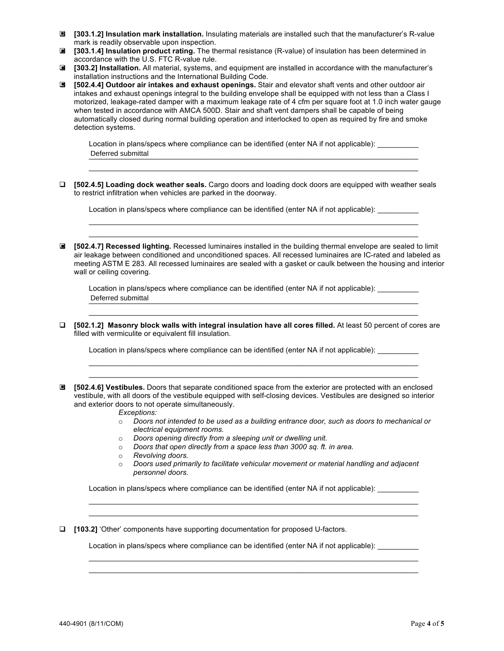- **[303.1.2] Insulation mark installation.** Insulating materials are installed such that the manufacturer's R-value mark is readily observable upon inspection.
- **[303.1.4] Insulation product rating.** The thermal resistance (R-value) of insulation has been determined in accordance with the U.S. FTC R-value rule.
- **[303.2] Installation.** All material, systems, and equipment are installed in accordance with the manufacturer's installation instructions and the International Building Code.
- **[502.4.4] Outdoor air intakes and exhaust openings.** Stair and elevator shaft vents and other outdoor air intakes and exhaust openings integral to the building envelope shall be equipped with not less than a Class I motorized, leakage-rated damper with a maximum leakage rate of 4 cfm per square foot at 1.0 inch water gauge when tested in accordance with AMCA 500D. Stair and shaft vent dampers shall be capable of being automatically closed during normal building operation and interlocked to open as required by fire and smoke detection systems.

Location in plans/specs where compliance can be identified (enter NA if not applicable): Deferred submittal experiments of the subset of the subset of the subset of the subset of the subset of the subset of the subset of the subset of the subset of the subset of the subset of the subset of the subset of the su

 $\mathcal{L}_\mathcal{L} = \mathcal{L}_\mathcal{L} = \mathcal{L}_\mathcal{L} = \mathcal{L}_\mathcal{L} = \mathcal{L}_\mathcal{L} = \mathcal{L}_\mathcal{L} = \mathcal{L}_\mathcal{L} = \mathcal{L}_\mathcal{L} = \mathcal{L}_\mathcal{L} = \mathcal{L}_\mathcal{L} = \mathcal{L}_\mathcal{L} = \mathcal{L}_\mathcal{L} = \mathcal{L}_\mathcal{L} = \mathcal{L}_\mathcal{L} = \mathcal{L}_\mathcal{L} = \mathcal{L}_\mathcal{L} = \mathcal{L}_\mathcal{L}$ 

 **[502.4.5] Loading dock weather seals.** Cargo doors and loading dock doors are equipped with weather seals to restrict infiltration when vehicles are parked in the doorway.

Location in plans/specs where compliance can be identified (enter NA if not applicable):

 **[502.4.7] Recessed lighting.** Recessed luminaires installed in the building thermal envelope are sealed to limit ■ air leakage between conditioned and unconditioned spaces. All recessed luminaires are IC-rated and labeled as meeting ASTM E 283. All recessed luminaires are sealed with a gasket or caulk between the housing and interior wall or ceiling covering.

 $\mathcal{L}_\mathcal{L} = \mathcal{L}_\mathcal{L} = \mathcal{L}_\mathcal{L} = \mathcal{L}_\mathcal{L} = \mathcal{L}_\mathcal{L} = \mathcal{L}_\mathcal{L} = \mathcal{L}_\mathcal{L} = \mathcal{L}_\mathcal{L} = \mathcal{L}_\mathcal{L} = \mathcal{L}_\mathcal{L} = \mathcal{L}_\mathcal{L} = \mathcal{L}_\mathcal{L} = \mathcal{L}_\mathcal{L} = \mathcal{L}_\mathcal{L} = \mathcal{L}_\mathcal{L} = \mathcal{L}_\mathcal{L} = \mathcal{L}_\mathcal{L}$  $\mathcal{L}_\mathcal{L} = \mathcal{L}_\mathcal{L} = \mathcal{L}_\mathcal{L} = \mathcal{L}_\mathcal{L} = \mathcal{L}_\mathcal{L} = \mathcal{L}_\mathcal{L} = \mathcal{L}_\mathcal{L} = \mathcal{L}_\mathcal{L} = \mathcal{L}_\mathcal{L} = \mathcal{L}_\mathcal{L} = \mathcal{L}_\mathcal{L} = \mathcal{L}_\mathcal{L} = \mathcal{L}_\mathcal{L} = \mathcal{L}_\mathcal{L} = \mathcal{L}_\mathcal{L} = \mathcal{L}_\mathcal{L} = \mathcal{L}_\mathcal{L}$ 

Location in plans/specs where compliance can be identified (enter NA if not applicable): Deferred submittal experiments of the subset of the subset of the subset of the subset of the subset of the subset of the subset of the subset of the subset of the subset of the subset of the subset of the subset of the su

 **[502.1.2] Masonry block walls with integral insulation have all cores filled.** At least 50 percent of cores are filled with vermiculite or equivalent fill insulation.

 $\mathcal{L}_\mathcal{L} = \mathcal{L}_\mathcal{L} = \mathcal{L}_\mathcal{L} = \mathcal{L}_\mathcal{L} = \mathcal{L}_\mathcal{L} = \mathcal{L}_\mathcal{L} = \mathcal{L}_\mathcal{L} = \mathcal{L}_\mathcal{L} = \mathcal{L}_\mathcal{L} = \mathcal{L}_\mathcal{L} = \mathcal{L}_\mathcal{L} = \mathcal{L}_\mathcal{L} = \mathcal{L}_\mathcal{L} = \mathcal{L}_\mathcal{L} = \mathcal{L}_\mathcal{L} = \mathcal{L}_\mathcal{L} = \mathcal{L}_\mathcal{L}$ 

 $\mathcal{L}_\mathcal{L} = \mathcal{L}_\mathcal{L} = \mathcal{L}_\mathcal{L} = \mathcal{L}_\mathcal{L} = \mathcal{L}_\mathcal{L} = \mathcal{L}_\mathcal{L} = \mathcal{L}_\mathcal{L} = \mathcal{L}_\mathcal{L} = \mathcal{L}_\mathcal{L} = \mathcal{L}_\mathcal{L} = \mathcal{L}_\mathcal{L} = \mathcal{L}_\mathcal{L} = \mathcal{L}_\mathcal{L} = \mathcal{L}_\mathcal{L} = \mathcal{L}_\mathcal{L} = \mathcal{L}_\mathcal{L} = \mathcal{L}_\mathcal{L}$  $\mathcal{L}_\mathcal{L} = \mathcal{L}_\mathcal{L} = \mathcal{L}_\mathcal{L} = \mathcal{L}_\mathcal{L} = \mathcal{L}_\mathcal{L} = \mathcal{L}_\mathcal{L} = \mathcal{L}_\mathcal{L} = \mathcal{L}_\mathcal{L} = \mathcal{L}_\mathcal{L} = \mathcal{L}_\mathcal{L} = \mathcal{L}_\mathcal{L} = \mathcal{L}_\mathcal{L} = \mathcal{L}_\mathcal{L} = \mathcal{L}_\mathcal{L} = \mathcal{L}_\mathcal{L} = \mathcal{L}_\mathcal{L} = \mathcal{L}_\mathcal{L}$ 

Location in plans/specs where compliance can be identified (enter NA if not applicable):

- **[502.4.6] Vestibules.** Doors that separate conditioned space from the exterior are protected with an enclosed vestibule, with all doors of the vestibule equipped with self-closing devices. Vestibules are designed so interior and exterior doors to not operate simultaneously.
	- *Exceptions:*
	- o *Doors not intended to be used as a building entrance door, such as doors to mechanical or electrical equipment rooms.*
	- o *Doors opening directly from a sleeping unit or dwelling unit.*
	- o *Doors that open directly from a space less than 3000 sq. ft. in area.*
	- o *Revolving doors.*
	- o *Doors used primarily to facilitate vehicular movement or material handling and adjacent personnel doors.*

Location in plans/specs where compliance can be identified (enter NA if not applicable): \_\_\_\_\_\_\_\_\_\_

 $\mathcal{L}_\mathcal{L} = \mathcal{L}_\mathcal{L} = \mathcal{L}_\mathcal{L} = \mathcal{L}_\mathcal{L} = \mathcal{L}_\mathcal{L} = \mathcal{L}_\mathcal{L} = \mathcal{L}_\mathcal{L} = \mathcal{L}_\mathcal{L} = \mathcal{L}_\mathcal{L} = \mathcal{L}_\mathcal{L} = \mathcal{L}_\mathcal{L} = \mathcal{L}_\mathcal{L} = \mathcal{L}_\mathcal{L} = \mathcal{L}_\mathcal{L} = \mathcal{L}_\mathcal{L} = \mathcal{L}_\mathcal{L} = \mathcal{L}_\mathcal{L}$  $\mathcal{L}_\mathcal{L} = \mathcal{L}_\mathcal{L} = \mathcal{L}_\mathcal{L} = \mathcal{L}_\mathcal{L} = \mathcal{L}_\mathcal{L} = \mathcal{L}_\mathcal{L} = \mathcal{L}_\mathcal{L} = \mathcal{L}_\mathcal{L} = \mathcal{L}_\mathcal{L} = \mathcal{L}_\mathcal{L} = \mathcal{L}_\mathcal{L} = \mathcal{L}_\mathcal{L} = \mathcal{L}_\mathcal{L} = \mathcal{L}_\mathcal{L} = \mathcal{L}_\mathcal{L} = \mathcal{L}_\mathcal{L} = \mathcal{L}_\mathcal{L}$ 

 $\mathcal{L}_\mathcal{L} = \mathcal{L}_\mathcal{L} = \mathcal{L}_\mathcal{L} = \mathcal{L}_\mathcal{L} = \mathcal{L}_\mathcal{L} = \mathcal{L}_\mathcal{L} = \mathcal{L}_\mathcal{L} = \mathcal{L}_\mathcal{L} = \mathcal{L}_\mathcal{L} = \mathcal{L}_\mathcal{L} = \mathcal{L}_\mathcal{L} = \mathcal{L}_\mathcal{L} = \mathcal{L}_\mathcal{L} = \mathcal{L}_\mathcal{L} = \mathcal{L}_\mathcal{L} = \mathcal{L}_\mathcal{L} = \mathcal{L}_\mathcal{L}$  $\mathcal{L}_\mathcal{L} = \mathcal{L}_\mathcal{L} = \mathcal{L}_\mathcal{L} = \mathcal{L}_\mathcal{L} = \mathcal{L}_\mathcal{L} = \mathcal{L}_\mathcal{L} = \mathcal{L}_\mathcal{L} = \mathcal{L}_\mathcal{L} = \mathcal{L}_\mathcal{L} = \mathcal{L}_\mathcal{L} = \mathcal{L}_\mathcal{L} = \mathcal{L}_\mathcal{L} = \mathcal{L}_\mathcal{L} = \mathcal{L}_\mathcal{L} = \mathcal{L}_\mathcal{L} = \mathcal{L}_\mathcal{L} = \mathcal{L}_\mathcal{L}$ 

**[103.2]** 'Other' components have supporting documentation for proposed U-factors.

Location in plans/specs where compliance can be identified (enter NA if not applicable):